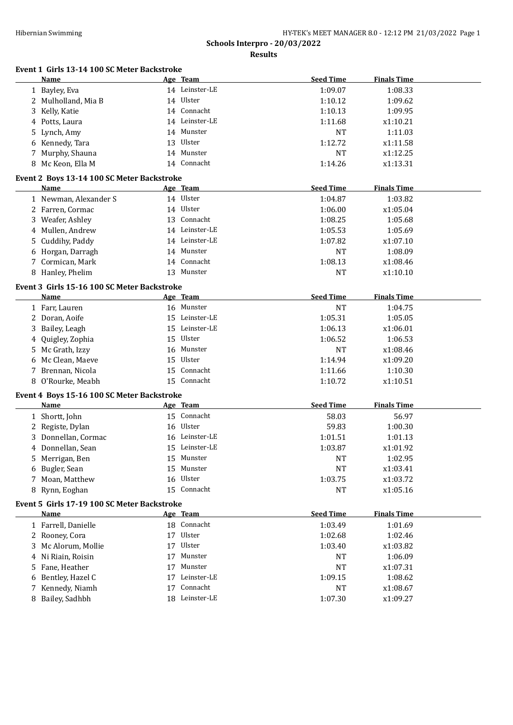**Event 1 Girls 13-14 100 SC Meter Backstroke**

**Schools Interpro - 20/03/2022**

|   | <b>Name</b>                                                |    | Age Team       | <b>Seed Time</b> | <b>Finals Time</b> |  |
|---|------------------------------------------------------------|----|----------------|------------------|--------------------|--|
|   | 1 Bayley, Eva                                              |    | 14 Leinster-LE | 1:09.07          | 1:08.33            |  |
|   | 2 Mulholland, Mia B                                        |    | 14 Ulster      | 1:10.12          | 1:09.62            |  |
|   | 3 Kelly, Katie                                             |    | 14 Connacht    | 1:10.13          | 1:09.95            |  |
|   | 4 Potts, Laura                                             |    | 14 Leinster-LE | 1:11.68          | x1:10.21           |  |
|   | 5 Lynch, Amy                                               |    | 14 Munster     | <b>NT</b>        | 1:11.03            |  |
|   | 6 Kennedy, Tara                                            |    | 13 Ulster      | 1:12.72          | x1:11.58           |  |
|   | 7 Murphy, Shauna                                           |    | 14 Munster     | <b>NT</b>        | x1:12.25           |  |
|   | 8 Mc Keon, Ella M                                          |    | 14 Connacht    | 1:14.26          | x1:13.31           |  |
|   | Event 2 Boys 13-14 100 SC Meter Backstroke                 |    |                |                  |                    |  |
|   | Name                                                       |    | Age Team       | <b>Seed Time</b> | <b>Finals Time</b> |  |
|   | 1 Newman, Alexander S                                      |    | 14 Ulster      | 1:04.87          | 1:03.82            |  |
|   | 2 Farren, Cormac                                           |    | 14 Ulster      | 1:06.00          | x1:05.04           |  |
|   | 3 Weafer, Ashley                                           |    | 13 Connacht    | 1:08.25          | 1:05.68            |  |
|   | 4 Mullen, Andrew                                           |    | 14 Leinster-LE | 1:05.53          | 1:05.69            |  |
|   | 5 Cuddihy, Paddy                                           |    | 14 Leinster-LE | 1:07.82          | x1:07.10           |  |
|   | 6 Horgan, Darragh                                          |    | 14 Munster     | <b>NT</b>        | 1:08.09            |  |
|   | 7 Cormican, Mark                                           |    | 14 Connacht    | 1:08.13          | x1:08.46           |  |
|   | 8 Hanley, Phelim                                           |    | 13 Munster     | <b>NT</b>        | x1:10.10           |  |
|   |                                                            |    |                |                  |                    |  |
|   | Event 3 Girls 15-16 100 SC Meter Backstroke<br><b>Name</b> |    | Age Team       | <b>Seed Time</b> | <b>Finals Time</b> |  |
|   | 1 Farr, Lauren                                             |    | 16 Munster     | <b>NT</b>        | 1:04.75            |  |
|   | 2 Doran, Aoife                                             |    | 15 Leinster-LE | 1:05.31          | 1:05.05            |  |
|   |                                                            |    | 15 Leinster-LE | 1:06.13          | x1:06.01           |  |
|   | 3 Bailey, Leagh                                            | 15 | Ulster         |                  |                    |  |
| 4 | Quigley, Zophia                                            |    |                | 1:06.52          | 1:06.53            |  |
|   | 5 Mc Grath, Izzy                                           |    | 16 Munster     | <b>NT</b>        | x1:08.46           |  |
|   | Mc Clean, Maeve                                            | 15 | Ulster         | 1:14.94          | x1:09.20           |  |
|   | 7 Brennan, Nicola                                          |    | 15 Connacht    | 1:11.66          | 1:10.30            |  |
|   | 8 O'Rourke, Meabh                                          |    | 15 Connacht    | 1:10.72          | x1:10.51           |  |
|   | Event 4 Boys 15-16 100 SC Meter Backstroke                 |    |                |                  |                    |  |
|   | Name                                                       |    | Age Team       | <b>Seed Time</b> | <b>Finals Time</b> |  |
|   | 1 Shortt, John                                             |    | 15 Connacht    | 58.03            | 56.97              |  |
|   | 2 Registe, Dylan                                           |    | 16 Ulster      | 59.83            | 1:00.30            |  |
|   | 3 Donnellan, Cormac                                        |    | 16 Leinster-LE | 1:01.51          | 1:01.13            |  |
|   | 4 Donnellan, Sean                                          | 15 | Leinster-LE    | 1:03.87          | x1:01.92           |  |
|   | 5 Merrigan, Ben                                            |    | 15 Munster     | <b>NT</b>        | 1:02.95            |  |
|   | 6 Bugler, Sean                                             |    | 15 Munster     | NT               | x1:03.41           |  |
|   | 7 Moan, Matthew                                            |    | 16 Ulster      | 1:03.75          | x1:03.72           |  |
|   | 8 Rynn, Eoghan                                             |    | 15 Connacht    | <b>NT</b>        | x1:05.16           |  |
|   | Event 5 Girls 17-19 100 SC Meter Backstroke                |    |                |                  |                    |  |
|   | Name                                                       |    | Age Team       | <b>Seed Time</b> | <b>Finals Time</b> |  |
|   | 1 Farrell, Danielle                                        |    | 18 Connacht    | 1:03.49          | 1:01.69            |  |
|   | 2 Rooney, Cora                                             |    | 17 Ulster      | 1:02.68          | 1:02.46            |  |
|   | 3 Mc Alorum, Mollie                                        |    | 17 Ulster      | 1:03.40          | x1:03.82           |  |
|   | 4 Ni Riain, Roisin                                         | 17 | Munster        | NT               | 1:06.09            |  |
|   | 5 Fane, Heather                                            | 17 | Munster        | NT               | x1:07.31           |  |
| 6 | Bentley, Hazel C                                           | 17 | Leinster-LE    | 1:09.15          | 1:08.62            |  |
|   | 7 Kennedy, Niamh                                           | 17 | Connacht       | <b>NT</b>        | x1:08.67           |  |
|   | 8 Bailey, Sadhbh                                           |    | 18 Leinster-LE | 1:07.30          | x1:09.27           |  |
|   |                                                            |    |                |                  |                    |  |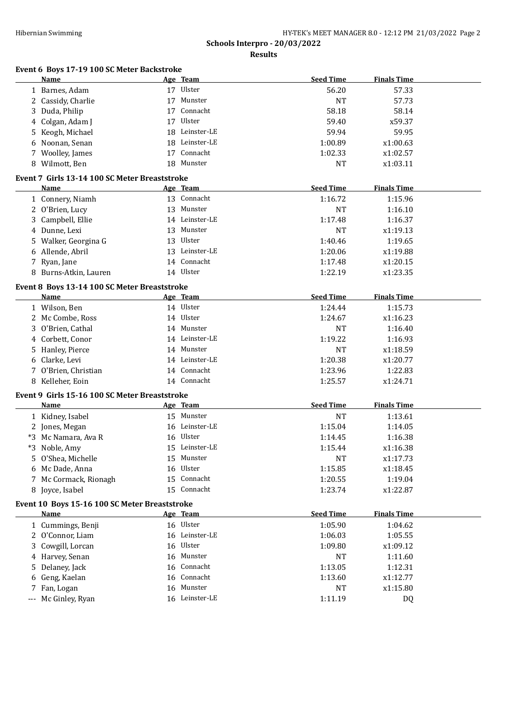| Event 6 Boys 17-19 100 SC Meter Backstroke<br>Name |    | Age Team                   | <b>Seed Time</b> | <b>Finals Time</b>   |
|----------------------------------------------------|----|----------------------------|------------------|----------------------|
| 1 Barnes, Adam                                     |    | 17 Ulster                  | 56.20            | 57.33                |
| 2 Cassidy, Charlie                                 |    | 17 Munster                 | <b>NT</b>        | 57.73                |
| Duda, Philip<br>3                                  |    | 17 Connacht                | 58.18            | 58.14                |
| Colgan, Adam J<br>4                                | 17 | Ulster                     | 59.40            | x59.37               |
| Keogh, Michael<br>5                                |    | 18 Leinster-LE             | 59.94            | 59.95                |
| Noonan, Senan<br>6                                 |    | 18 Leinster-LE             | 1:00.89          | x1:00.63             |
| 7 Woolley, James                                   |    | 17 Connacht                | 1:02.33          | x1:02.57             |
| 8 Wilmott, Ben                                     |    | 18 Munster                 | <b>NT</b>        | x1:03.11             |
| Event 7 Girls 13-14 100 SC Meter Breaststroke      |    |                            |                  |                      |
| Name                                               |    | Age Team                   | <b>Seed Time</b> | <b>Finals Time</b>   |
| 1 Connery, Niamh                                   |    | 13 Connacht                | 1:16.72          | 1:15.96              |
| 2 O'Brien, Lucy                                    |    | 13 Munster                 | <b>NT</b>        | 1:16.10              |
| Campbell, Ellie<br>3.                              |    | 14 Leinster-LE             | 1:17.48          | 1:16.37              |
| 4 Dunne, Lexi                                      |    | 13 Munster                 | <b>NT</b>        | x1:19.13             |
| Walker, Georgina G<br>5                            |    | 13 Ulster                  | 1:40.46          | 1:19.65              |
| 6 Allende, Abril                                   |    | 13 Leinster-LE             | 1:20.06          | x1:19.88             |
| 7 Ryan, Jane                                       |    | 14 Connacht                | 1:17.48          | x1:20.15             |
| 8 Burns-Atkin, Lauren                              |    | 14 Ulster                  | 1:22.19          | x1:23.35             |
| Event 8 Boys 13-14 100 SC Meter Breaststroke       |    |                            |                  |                      |
| <b>Name</b>                                        |    | Age Team                   | <b>Seed Time</b> | <b>Finals Time</b>   |
| 1 Wilson, Ben                                      |    | 14 Ulster                  | 1:24.44          | 1:15.73              |
| 2 Mc Combe, Ross                                   |    | 14 Ulster                  | 1:24.67          | x1:16.23             |
| O'Brien, Cathal<br>3                               |    | 14 Munster                 | <b>NT</b>        | 1:16.40              |
| Corbett, Conor<br>4                                |    | 14 Leinster-LE             | 1:19.22          | 1:16.93              |
| Hanley, Pierce<br>5                                |    | 14 Munster                 | <b>NT</b>        | x1:18.59             |
| 6 Clarke, Levi                                     |    | 14 Leinster-LE             | 1:20.38          | x1:20.77             |
| 7 O'Brien, Christian                               |    | 14 Connacht                | 1:23.96          | 1:22.83              |
| 8 Kelleher, Eoin                                   |    | 14 Connacht                | 1:25.57          | x1:24.71             |
| Event 9 Girls 15-16 100 SC Meter Breaststroke      |    |                            |                  |                      |
| Name                                               |    | Age Team                   | <b>Seed Time</b> | <b>Finals Time</b>   |
| 1 Kidney, Isabel                                   |    | 15 Munster                 | <b>NT</b>        | 1:13.61              |
| 2 Jones, Megan                                     |    | 16 Leinster-LE             | 1:15.04          | 1:14.05              |
|                                                    |    |                            |                  |                      |
|                                                    |    | 16 Ulster                  | 1:14.45          |                      |
| *3 Mc Namara, Ava R                                |    |                            |                  | 1:16.38              |
| *3 Noble, Amy<br>5                                 | 15 | 15 Leinster-LE<br>Munster  | 1:15.44<br>NT    | x1:16.38             |
| O'Shea, Michelle                                   | 16 | Ulster                     | 1:15.85          | x1:17.73<br>x1:18.45 |
| 6 Mc Dade, Anna                                    |    |                            |                  |                      |
| 7 Mc Cormack, Rionagh                              |    | 15 Connacht<br>15 Connacht | 1:20.55          | 1:19.04              |
| 8 Joyce, Isabel                                    |    |                            | 1:23.74          | x1:22.87             |
| Event 10 Boys 15-16 100 SC Meter Breaststroke      |    |                            |                  |                      |
| <b>Name</b>                                        |    | Age Team                   | <b>Seed Time</b> | <b>Finals Time</b>   |
| 1 Cummings, Benji                                  |    | 16 Ulster                  | 1:05.90          | 1:04.62              |
| 2 O'Connor, Liam                                   |    | 16 Leinster-LE             | 1:06.03          | 1:05.55              |
| Cowgill, Lorcan<br>3.                              |    | 16 Ulster                  | 1:09.80          | x1:09.12             |
| 4 Harvey, Senan                                    |    | 16 Munster                 | NT               | 1:11.60              |
| Delaney, Jack<br>5                                 |    | 16 Connacht                | 1:13.05          | 1:12.31              |
| Geng, Kaelan<br>6<br>Fan, Logan<br>7               |    | 16 Connacht<br>16 Munster  | 1:13.60<br>NT    | x1:12.77<br>x1:15.80 |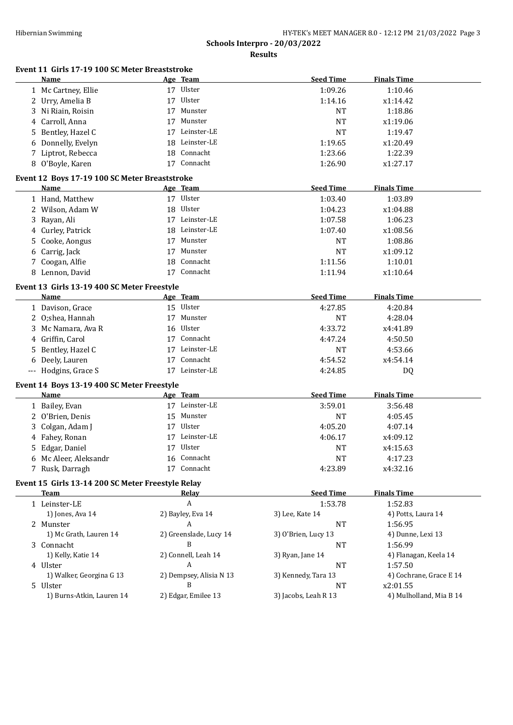|    | Event 11 Girls 17-19 100 SC Meter Breaststroke<br>Name |    | Age Team                | <b>Seed Time</b>    | <b>Finals Time</b>      |
|----|--------------------------------------------------------|----|-------------------------|---------------------|-------------------------|
|    | 1 Mc Cartney, Ellie                                    |    | 17 Ulster               | 1:09.26             | 1:10.46                 |
|    | 2 Urry, Amelia B                                       |    | 17 Ulster               | 1:14.16             | x1:14.42                |
|    | 3 Ni Riain, Roisin                                     | 17 | Munster                 | <b>NT</b>           | 1:18.86                 |
|    | 4 Carroll, Anna                                        | 17 | Munster                 | <b>NT</b>           | x1:19.06                |
|    | 5 Bentley, Hazel C                                     | 17 | Leinster-LE             | <b>NT</b>           | 1:19.47                 |
|    | 6 Donnelly, Evelyn                                     | 18 | Leinster-LE             | 1:19.65             | x1:20.49                |
|    | 7 Liptrot, Rebecca                                     | 18 | Connacht                | 1:23.66             | 1:22.39                 |
|    | 8 O'Boyle, Karen                                       |    | 17 Connacht             | 1:26.90             | x1:27.17                |
|    |                                                        |    |                         |                     |                         |
|    | Event 12 Boys 17-19 100 SC Meter Breaststroke<br>Name  |    | Age Team                | <b>Seed Time</b>    | <b>Finals Time</b>      |
|    |                                                        |    | 17 Ulster               |                     |                         |
|    | 1 Hand, Matthew                                        |    |                         | 1:03.40             | 1:03.89                 |
|    | 2 Wilson, Adam W                                       | 18 | Ulster                  | 1:04.23             | x1:04.88                |
| 3  | Rayan, Ali                                             |    | 17 Leinster-LE          | 1:07.58             | 1:06.23                 |
|    | 4 Curley, Patrick                                      | 18 | Leinster-LE             | 1:07.40             | x1:08.56                |
| 5. | Cooke, Aongus                                          | 17 | Munster                 | <b>NT</b>           | 1:08.86                 |
| 6  | Carrig, Jack                                           | 17 | Munster                 | <b>NT</b>           | x1:09.12                |
|    | 7 Coogan, Alfie                                        | 18 | Connacht                | 1:11.56             | 1:10.01                 |
|    | 8 Lennon, David                                        |    | 17 Connacht             | 1:11.94             | x1:10.64                |
|    | Event 13 Girls 13-19 400 SC Meter Freestyle            |    |                         |                     |                         |
|    | <b>Name</b>                                            |    | Age Team                | <b>Seed Time</b>    | <b>Finals Time</b>      |
|    | 1 Davison, Grace                                       |    | 15 Ulster               | 4:27.85             | 4:20.84                 |
|    | 2 O;shea, Hannah                                       | 17 | Munster                 | <b>NT</b>           | 4:28.04                 |
|    | 3 Mc Namara, Ava R                                     | 16 | Ulster                  | 4:33.72             | x4:41.89                |
|    | 4 Griffin, Carol                                       | 17 | Connacht                | 4:47.24             | 4:50.50                 |
|    | 5 Bentley, Hazel C                                     | 17 | Leinster-LE             | <b>NT</b>           | 4:53.66                 |
|    | 6 Deely, Lauren                                        | 17 | Connacht                | 4:54.52             | x4:54.14                |
|    | --- Hodgins, Grace S                                   |    | 17 Leinster-LE          | 4:24.85             | DQ                      |
|    |                                                        |    |                         |                     |                         |
|    | Event 14 Boys 13-19 400 SC Meter Freestyle             |    |                         |                     |                         |
|    | Name                                                   |    | Age Team                | <b>Seed Time</b>    | <b>Finals Time</b>      |
|    | 1 Bailey, Evan                                         |    | 17 Leinster-LE          | 3:59.01             | 3:56.48                 |
|    | 2 O'Brien, Denis                                       |    | 15 Munster              | <b>NT</b>           | 4:05.45                 |
| 3  | Colgan, Adam J                                         |    | 17 Ulster               | 4:05.20             | 4:07.14                 |
|    | 4 Fahey, Ronan                                         |    | 17 Leinster-LE          | 4:06.17             | x4:09.12                |
|    |                                                        |    |                         |                     |                         |
| 5  | Edgar, Daniel                                          |    | 17 Ulster               | <b>NT</b>           | x4:15.63                |
|    | 6 Mc Aleer, Aleksandr                                  |    | 16 Connacht             | <b>NT</b>           | 4:17.23                 |
|    | 7 Rusk, Darragh                                        |    | 17 Connacht             | 4:23.89             | x4:32.16                |
|    | Event 15 Girls 13-14 200 SC Meter Freestyle Relay      |    |                         |                     |                         |
|    | <b>Team</b>                                            |    | <b>Relay</b>            | <b>Seed Time</b>    | <b>Finals Time</b>      |
|    | 1 Leinster-LE                                          |    | A                       | 1:53.78             | 1:52.83                 |
|    | 1) Jones, Ava 14                                       |    | 2) Bayley, Eva 14       | 3) Lee, Kate 14     | 4) Potts, Laura 14      |
|    | 2 Munster                                              |    | A                       | NT                  | 1:56.95                 |
|    | 1) Mc Grath, Lauren 14                                 |    | 2) Greenslade, Lucy 14  | 3) O'Brien, Lucy 13 | 4) Dunne, Lexi 13       |
|    | 3 Connacht                                             |    | B                       | <b>NT</b>           | 1:56.99                 |
|    | 1) Kelly, Katie 14                                     |    | 2) Connell, Leah 14     | 3) Ryan, Jane 14    | 4) Flanagan, Keela 14   |
|    | 4 Ulster                                               |    | A                       | <b>NT</b>           | 1:57.50                 |
|    | 1) Walker, Georgina G 13                               |    | 2) Dempsey, Alisia N 13 | 3) Kennedy, Tara 13 | 4) Cochrane, Grace E 14 |
|    | 5 Ulster                                               |    | B                       | <b>NT</b>           | x2:01.55                |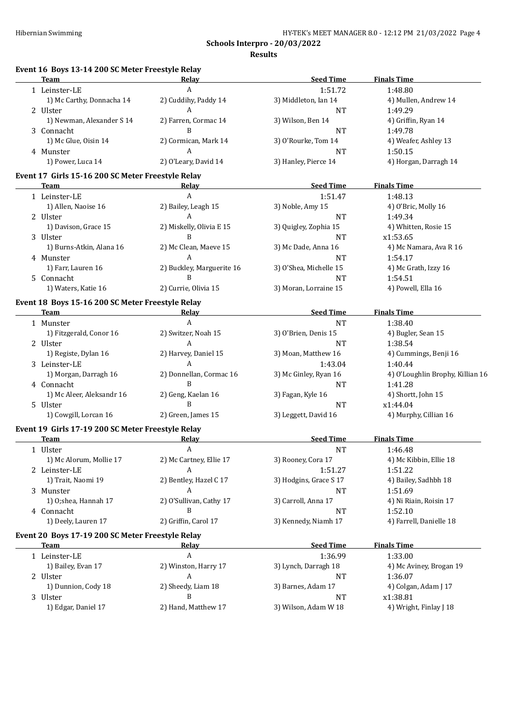**Schools Interpro - 20/03/2022 Results**

| <b>Team</b>                                       | Relay                     | <b>Seed Time</b>       | <b>Finals Time</b>               |
|---------------------------------------------------|---------------------------|------------------------|----------------------------------|
| 1 Leinster-LE                                     | A                         | 1:51.72                | 1:48.80                          |
| 1) Mc Carthy, Donnacha 14                         | 2) Cuddihy, Paddy 14      | 3) Middleton, Ian 14   | 4) Mullen, Andrew 14             |
| 2 Ulster                                          | A                         | NT                     | 1:49.29                          |
| 1) Newman, Alexander S 14                         | 2) Farren, Cormac 14      | 3) Wilson, Ben 14      | 4) Griffin, Ryan 14              |
| 3 Connacht                                        | B                         | NT                     | 1:49.78                          |
| 1) Mc Glue, Oisin 14                              | 2) Cormican, Mark 14      | 3) O'Rourke, Tom 14    | 4) Weafer, Ashley 13             |
| 4 Munster                                         | Α                         | <b>NT</b>              | 1:50.15                          |
| 1) Power, Luca 14                                 | 2) O'Leary, David 14      | 3) Hanley, Pierce 14   | 4) Horgan, Darragh 14            |
| Event 17 Girls 15-16 200 SC Meter Freestyle Relay |                           |                        |                                  |
| <b>Team</b>                                       | Relay                     | <b>Seed Time</b>       | <b>Finals Time</b>               |
| 1 Leinster-LE                                     | A                         | 1:51.47                | 1:48.13                          |
| 1) Allen, Naoise 16                               | 2) Bailey, Leagh 15       | 3) Noble, Amy 15       | 4) O'Bric, Molly 16              |
| 2 Ulster                                          | A                         | NT                     | 1:49.34                          |
| 1) Davison, Grace 15                              | 2) Miskelly, Olivia E 15  | 3) Quigley, Zophia 15  | 4) Whitten, Rosie 15             |
| 3 Ulster                                          | B                         | <b>NT</b>              | x1:53.65                         |
| 1) Burns-Atkin, Alana 16                          | 2) Mc Clean, Maeve 15     | 3) Mc Dade, Anna 16    | 4) Mc Namara, Ava R 16           |
| 4 Munster                                         | A                         | NT                     | 1:54.17                          |
| 1) Farr, Lauren 16                                | 2) Buckley, Marguerite 16 | 3) O'Shea, Michelle 15 | 4) Mc Grath, Izzy 16             |
| 5 Connacht                                        | $\mathbf{B}$              | <b>NT</b>              | 1:54.51                          |
| 1) Waters, Katie 16                               | 2) Currie, Olivia 15      | 3) Moran, Lorraine 15  | 4) Powell, Ella 16               |
|                                                   |                           |                        |                                  |
| Event 18 Boys 15-16 200 SC Meter Freestyle Relay  |                           |                        |                                  |
| Team                                              | <u>Relav</u>              | <b>Seed Time</b>       | <b>Finals Time</b>               |
| 1 Munster                                         | $\boldsymbol{A}$          | <b>NT</b>              | 1:38.40                          |
| 1) Fitzgerald, Conor 16                           | 2) Switzer, Noah 15       | 3) O'Brien, Denis 15   | 4) Bugler, Sean 15               |
| 2 Ulster                                          | Α                         | <b>NT</b>              | 1:38.54                          |
| 1) Registe, Dylan 16                              | 2) Harvey, Daniel 15      | 3) Moan, Matthew 16    | 4) Cummings, Benji 16            |
| 3 Leinster-LE                                     | A                         | 1:43.04                | 1:40.44                          |
| 1) Morgan, Darragh 16                             | 2) Donnellan, Cormac 16   | 3) Mc Ginley, Ryan 16  | 4) O'Loughlin Brophy, Killian 16 |
| 4 Connacht                                        | B                         | <b>NT</b>              | 1:41.28                          |
| 1) Mc Aleer, Aleksandr 16                         | 2) Geng, Kaelan 16        | 3) Fagan, Kyle 16      | 4) Shortt, John 15               |
| 5 Ulster                                          | B                         | NT                     | x1:44.04                         |
| 1) Cowgill, Lorcan 16                             | 2) Green, James 15        | 3) Leggett, David 16   | 4) Murphy, Cillian 16            |
| Event 19 Girls 17-19 200 SC Meter Freestyle Relay |                           |                        |                                  |
| Team                                              | Relay                     | <b>Seed Time</b>       | <b>Finals Time</b>               |
| 1 Ulster                                          | A                         | <b>NT</b>              | 1:46.48                          |
| 1) Mc Alorum, Mollie 17                           | 2) Mc Cartney, Ellie 17   | 3) Rooney, Cora 17     | 4) Mc Kibbin, Ellie 18           |
| 2 Leinster-LE                                     | A                         | 1:51.27                | 1:51.22                          |
| 1) Trait, Naomi 19                                | 2) Bentley, Hazel C 17    | 3) Hodgins, Grace S 17 | 4) Bailey, Sadhbh 18             |
| 3 Munster                                         | A                         | NT                     | 1:51.69                          |
| 1) O;shea, Hannah 17                              | 2) O'Sullivan, Cathy 17   | 3) Carroll, Anna 17    | 4) Ni Riain, Roisin 17           |
| 4 Connacht                                        | R                         | NT                     | 1:52.10                          |
| 1) Deely, Lauren 17                               | 2) Griffin, Carol 17      | 3) Kennedy, Niamh 17   | 4) Farrell, Danielle 18          |
| Event 20 Boys 17-19 200 SC Meter Freestyle Relay  |                           |                        |                                  |
| Team                                              | <u>Relav</u>              | <b>Seed Time</b>       | <b>Finals Time</b>               |
| 1 Leinster-LE                                     | $\boldsymbol{A}$          | 1:36.99                | 1:33.00                          |
| 1) Bailey, Evan 17                                | 2) Winston, Harry 17      | 3) Lynch, Darragh 18   | 4) Mc Aviney, Brogan 19          |
|                                                   | A                         |                        |                                  |
| 2 Ulster                                          |                           | NT                     | 1:36.07                          |
| 1) Dunnion, Cody 18                               | 2) Sheedy, Liam 18        | 3) Barnes, Adam 17     | 4) Colgan, Adam J 17             |
|                                                   | B                         | NT                     | x1:38.81                         |
| 3 Ulster<br>1) Edgar, Daniel 17                   | 2) Hand, Matthew 17       | 3) Wilson, Adam W 18   | 4) Wright, Finlay J 18           |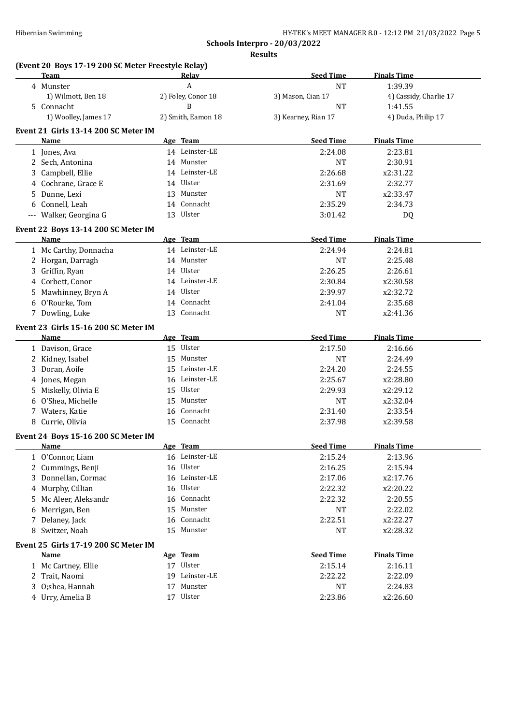## **Schools Interpro - 20/03/2022 Results**

|    | (Event 20 Boys 17-19 200 SC Meter Freestyle Relay)<br>Team |    | Relay              | <b>Seed Time</b>    | <b>Finals Time</b>     |
|----|------------------------------------------------------------|----|--------------------|---------------------|------------------------|
|    | 4 Munster                                                  |    | A                  | <b>NT</b>           | 1:39.39                |
|    | 1) Wilmott, Ben 18                                         |    | 2) Foley, Conor 18 | 3) Mason, Cian 17   | 4) Cassidy, Charlie 17 |
|    | 5 Connacht                                                 |    | B                  | <b>NT</b>           | 1:41.55                |
|    | 1) Woolley, James 17                                       |    | 2) Smith, Eamon 18 | 3) Kearney, Rian 17 | 4) Duda, Philip 17     |
|    | Event 21 Girls 13-14 200 SC Meter IM                       |    |                    |                     |                        |
|    | <b>Name</b>                                                |    | Age Team           | <b>Seed Time</b>    | <b>Finals Time</b>     |
|    | 1 Jones, Ava                                               |    | 14 Leinster-LE     | 2:24.08             | 2:23.81                |
|    | 2 Sech, Antonina                                           |    | 14 Munster         | <b>NT</b>           | 2:30.91                |
|    | 3 Campbell, Ellie                                          |    | 14 Leinster-LE     | 2:26.68             | x2:31.22               |
| 4  | Cochrane, Grace E                                          |    | 14 Ulster          | 2:31.69             | 2:32.77                |
| 5  | Dunne, Lexi                                                |    | 13 Munster         | <b>NT</b>           | x2:33.47               |
| 6  | Connell, Leah                                              |    | 14 Connacht        | 2:35.29             | 2:34.73                |
|    | --- Walker, Georgina G                                     |    | 13 Ulster          | 3:01.42             | DQ                     |
|    | Event 22 Boys 13-14 200 SC Meter IM                        |    |                    |                     |                        |
|    | Name                                                       |    | Age Team           | <b>Seed Time</b>    | <b>Finals Time</b>     |
|    | 1 Mc Carthy, Donnacha                                      |    | 14 Leinster-LE     | 2:24.94             | 2:24.81                |
|    | 2 Horgan, Darragh                                          |    | 14 Munster         | <b>NT</b>           | 2:25.48                |
|    | 3 Griffin, Ryan                                            |    | 14 Ulster          | 2:26.25             | 2:26.61                |
| 4  | Corbett, Conor                                             |    | 14 Leinster-LE     | 2:30.84             | x2:30.58               |
| 5. | Mawhinney, Bryn A                                          |    | 14 Ulster          | 2:39.97             | x2:32.72               |
| 6  | O'Rourke, Tom                                              |    | 14 Connacht        | 2:41.04             | 2:35.68                |
|    | 7 Dowling, Luke                                            |    | 13 Connacht        | <b>NT</b>           | x2:41.36               |
|    | Event 23 Girls 15-16 200 SC Meter IM                       |    |                    |                     |                        |
|    | <b>Name</b>                                                |    | Age Team           | <b>Seed Time</b>    | <b>Finals Time</b>     |
|    | 1 Davison, Grace                                           |    | 15 Ulster          | 2:17.50             | 2:16.66                |
|    | 2 Kidney, Isabel                                           |    | 15 Munster         | <b>NT</b>           | 2:24.49                |
|    | 3 Doran, Aoife                                             |    | 15 Leinster-LE     | 2:24.20             | 2:24.55                |
| 4  | Jones, Megan                                               |    | 16 Leinster-LE     | 2:25.67             | x2:28.80               |
| 5  | Miskelly, Olivia E                                         |    | 15 Ulster          | 2:29.93             | x2:29.12               |
| 6  | O'Shea, Michelle                                           |    | 15 Munster         | <b>NT</b>           | x2:32.04               |
| 7  | Waters, Katie                                              | 16 | Connacht           | 2:31.40             | 2:33.54                |
| 8  | Currie, Olivia                                             | 15 | Connacht           | 2:37.98             | x2:39.58               |
|    | Event 24 Boys 15-16 200 SC Meter IM                        |    |                    |                     |                        |
|    | <b>Name</b>                                                |    | Age Team           | <b>Seed Time</b>    | <b>Finals Time</b>     |
|    | 1 O'Connor, Liam                                           |    | 16 Leinster-LE     | 2:15.24             | 2:13.96                |
|    | 2 Cummings, Benji                                          |    | 16 Ulster          | 2:16.25             | 2:15.94                |
| 3  | Donnellan, Cormac                                          |    | 16 Leinster-LE     | 2:17.06             | x2:17.76               |
| 4  | Murphy, Cillian                                            |    | 16 Ulster          | 2:22.32             | x2:20.22               |
| 5  | Mc Aleer, Aleksandr                                        | 16 | Connacht           | 2:22.32             | 2:20.55                |
| 6  | Merrigan, Ben                                              | 15 | Munster            | <b>NT</b>           | 2:22.02                |
| 7  | Delaney, Jack                                              | 16 | Connacht           | 2:22.51             | x2:22.27               |
| 8  | Switzer, Noah                                              |    | 15 Munster         | NT                  | x2:28.32               |
|    | Event 25 Girls 17-19 200 SC Meter IM                       |    |                    |                     |                        |
|    | <b>Name</b>                                                |    | Age Team           | <b>Seed Time</b>    | <b>Finals Time</b>     |
|    | 1 Mc Cartney, Ellie                                        |    | 17 Ulster          | 2:15.14             | 2:16.11                |
|    | 2 Trait, Naomi                                             | 19 | Leinster-LE        | 2:22.22             | 2:22.09                |
|    | O;shea, Hannah                                             | 17 | Munster            | <b>NT</b>           | 2:24.83                |
|    | 4 Urry, Amelia B                                           |    | 17 Ulster          | 2:23.86             | x2:26.60               |
|    |                                                            |    |                    |                     |                        |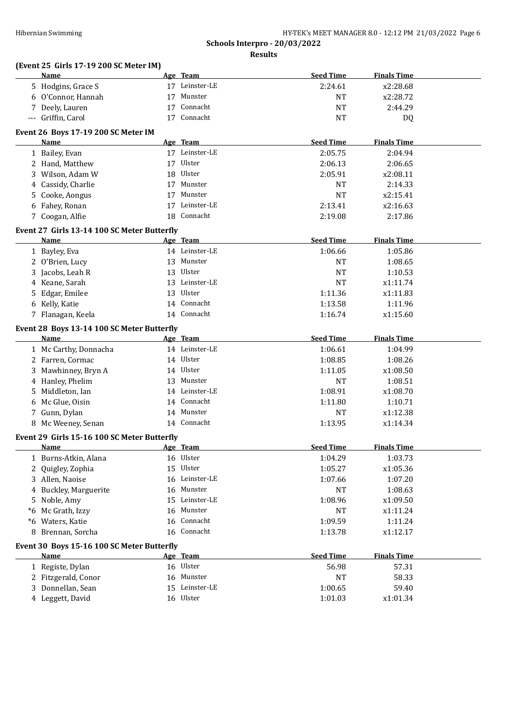## **(Event 25 Girls 17-19 200 SC Meter IM)**

|    | <b>Name</b>                                 | Age Team       | <b>Seed Time</b> | <b>Finals Time</b> |  |
|----|---------------------------------------------|----------------|------------------|--------------------|--|
|    | 5 Hodgins, Grace S                          | 17 Leinster-LE | 2:24.61          | x2:28.68           |  |
|    | 6 O'Connor, Hannah                          | 17 Munster     | <b>NT</b>        | x2:28.72           |  |
|    | 7 Deely, Lauren                             | 17 Connacht    | <b>NT</b>        | 2:44.29            |  |
|    | --- Griffin, Carol                          | 17 Connacht    | <b>NT</b>        | DQ                 |  |
|    | Event 26 Boys 17-19 200 SC Meter IM         |                |                  |                    |  |
|    | Name                                        | Age Team       | <b>Seed Time</b> | <b>Finals Time</b> |  |
|    | 1 Bailey, Evan                              | 17 Leinster-LE | 2:05.75          | 2:04.94            |  |
|    | 2 Hand, Matthew                             | 17 Ulster      | 2:06.13          | 2:06.65            |  |
|    | 3 Wilson, Adam W                            | 18 Ulster      | 2:05.91          | x2:08.11           |  |
| 4  | Cassidy, Charlie                            | 17 Munster     | NT               | 2:14.33            |  |
|    | 5 Cooke, Aongus                             | 17 Munster     | <b>NT</b>        | x2:15.41           |  |
| 6  | Fahey, Ronan                                | 17 Leinster-LE | 2:13.41          | x2:16.63           |  |
|    | 7 Coogan, Alfie                             | 18 Connacht    | 2:19.08          | 2:17.86            |  |
|    |                                             |                |                  |                    |  |
|    | Event 27 Girls 13-14 100 SC Meter Butterfly |                |                  |                    |  |
|    | Name                                        | Age Team       | <b>Seed Time</b> | <b>Finals Time</b> |  |
|    | 1 Bayley, Eva                               | 14 Leinster-LE | 1:06.66          | 1:05.86            |  |
|    | 2 O'Brien, Lucy                             | 13 Munster     | <b>NT</b>        | 1:08.65            |  |
|    | 3 Jacobs, Leah R                            | 13 Ulster      | <b>NT</b>        | 1:10.53            |  |
| 4  | Keane, Sarah                                | 13 Leinster-LE | <b>NT</b>        | x1:11.74           |  |
| 5. | Edgar, Emilee                               | 13 Ulster      | 1:11.36          | x1:11.83           |  |
|    | 6 Kelly, Katie                              | 14 Connacht    | 1:13.58          | 1:11.96            |  |
|    | 7 Flanagan, Keela                           | 14 Connacht    | 1:16.74          | x1:15.60           |  |
|    | Event 28 Boys 13-14 100 SC Meter Butterfly  |                |                  |                    |  |
|    | Name                                        | Age Team       | <b>Seed Time</b> | <b>Finals Time</b> |  |
|    | 1 Mc Carthy, Donnacha                       | 14 Leinster-LE | 1:06.61          | 1:04.99            |  |
|    | 2 Farren, Cormac                            | 14 Ulster      | 1:08.85          | 1:08.26            |  |
|    | 3 Mawhinney, Bryn A                         | 14 Ulster      | 1:11.05          | x1:08.50           |  |
|    | 4 Hanley, Phelim                            | 13 Munster     | <b>NT</b>        | 1:08.51            |  |
| 5. | Middleton, Ian                              | 14 Leinster-LE | 1:08.91          | x1:08.70           |  |
| 6  | Mc Glue, Oisin                              | 14 Connacht    | 1:11.80          | 1:10.71            |  |
|    | 7 Gunn, Dylan                               | 14 Munster     | <b>NT</b>        | x1:12.38           |  |
|    | 8 Mc Weeney, Senan                          | 14 Connacht    | 1:13.95          | x1:14.34           |  |
|    | Event 29 Girls 15-16 100 SC Meter Butterfly |                |                  |                    |  |
|    | Name                                        | Age Team       | <b>Seed Time</b> | <b>Finals Time</b> |  |
|    | 1 Burns-Atkin, Alana                        | 16 Ulster      | 1:04.29          | 1:03.73            |  |
|    | 2 Quigley, Zophia                           | 15 Ulster      | 1:05.27          | x1:05.36           |  |
|    | 3 Allen, Naoise                             | 16 Leinster-LE | 1:07.66          | 1:07.20            |  |
|    |                                             | 16 Munster     | <b>NT</b>        | 1:08.63            |  |
| 4  | <b>Buckley, Marguerite</b>                  | 15 Leinster-LE | 1:08.96          |                    |  |
| 5. | Noble, Amy<br>Mc Grath, Izzy                | 16 Munster     |                  | x1:09.50           |  |
| *6 |                                             | 16 Connacht    | <b>NT</b>        | x1:11.24           |  |
| *6 | Waters, Katie                               |                | 1:09.59          | 1:11.24            |  |
| 8  | Brennan, Sorcha                             | 16 Connacht    | 1:13.78          | x1:12.17           |  |
|    | Event 30 Boys 15-16 100 SC Meter Butterfly  |                |                  |                    |  |
|    | Name                                        | Age Team       | <b>Seed Time</b> | <b>Finals Time</b> |  |
|    | 1 Registe, Dylan                            | 16 Ulster      | 56.98            | 57.31              |  |
|    | 2 Fitzgerald, Conor                         | 16 Munster     | <b>NT</b>        | 58.33              |  |
| 3  | Donnellan, Sean                             | 15 Leinster-LE | 1:00.65          | 59.40              |  |
|    | 4 Leggett, David                            | 16 Ulster      | 1:01.03          | x1:01.34           |  |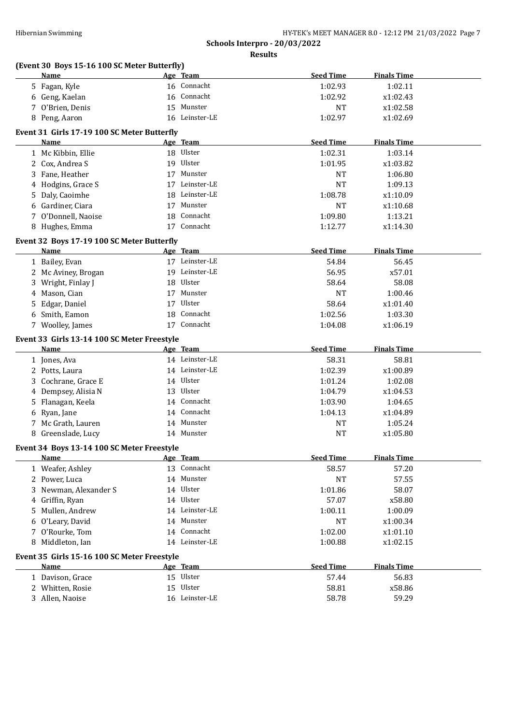| Hibernian Swimming                                        | HY-TEK's MEET MANAGER 8.0 - 12:12 PM 21/03/2022 Page 7 |                               |                    |  |  |
|-----------------------------------------------------------|--------------------------------------------------------|-------------------------------|--------------------|--|--|
|                                                           |                                                        | Schools Interpro - 20/03/2022 |                    |  |  |
|                                                           |                                                        | <b>Results</b>                |                    |  |  |
| (Event 30 Boys 15-16 100 SC Meter Butterfly)<br>Name      | Age Team                                               | <b>Seed Time</b>              | <b>Finals Time</b> |  |  |
| 5 Fagan, Kyle                                             | 16 Connacht                                            | 1:02.93                       | 1:02.11            |  |  |
| 6 Geng, Kaelan                                            | 16 Connacht                                            | 1:02.92                       | x1:02.43           |  |  |
| 7 O'Brien, Denis                                          | 15 Munster                                             | NT                            | x1:02.58           |  |  |
| 8 Peng, Aaron                                             | 16 Leinster-LE                                         | 1:02.97                       | x1:02.69           |  |  |
|                                                           |                                                        |                               |                    |  |  |
| Event 31 Girls 17-19 100 SC Meter Butterfly<br>Name       | Age Team                                               | <b>Seed Time</b>              | <b>Finals Time</b> |  |  |
| 1 Mc Kibbin, Ellie                                        | 18 Ulster                                              | 1:02.31                       | 1:03.14            |  |  |
| 2 Cox, Andrea S                                           | 19 Ulster                                              | 1:01.95                       | x1:03.82           |  |  |
| 3 Fane, Heather                                           | 17 Munster                                             | NT                            | 1:06.80            |  |  |
| 4 Hodgins, Grace S                                        | 17 Leinster-LE                                         | NT                            | 1:09.13            |  |  |
| 5 Daly, Caoimhe                                           | 18 Leinster-LE                                         | 1:08.78                       | x1:10.09           |  |  |
| 6 Gardiner, Ciara                                         | 17 Munster                                             | NT                            | x1:10.68           |  |  |
| 7 O'Donnell, Naoise                                       | 18 Connacht                                            | 1:09.80                       | 1:13.21            |  |  |
| 8 Hughes, Emma                                            | 17 Connacht                                            | 1:12.77                       | x1:14.30           |  |  |
|                                                           |                                                        |                               |                    |  |  |
| Event 32 Boys 17-19 100 SC Meter Butterfly<br><b>Name</b> | Age Team                                               | <b>Seed Time</b>              | <b>Finals Time</b> |  |  |
| 1 Bailey, Evan                                            | 17 Leinster-LE                                         | 54.84                         | 56.45              |  |  |
| 2 Mc Aviney, Brogan                                       | 19 Leinster-LE                                         | 56.95                         | x57.01             |  |  |
| 3 Wright, Finlay J                                        | 18 Ulster                                              | 58.64                         | 58.08              |  |  |
| 4 Mason, Cian                                             | 17 Munster                                             | NT                            | 1:00.46            |  |  |
| 5 Edgar, Daniel                                           | 17 Ulster                                              | 58.64                         | x1:01.40           |  |  |
| 6 Smith, Eamon                                            | 18 Connacht                                            | 1:02.56                       | 1:03.30            |  |  |
| 7 Woolley, James                                          | 17 Connacht                                            | 1:04.08                       | x1:06.19           |  |  |
|                                                           |                                                        |                               |                    |  |  |
| Event 33 Girls 13-14 100 SC Meter Freestyle<br>Name       | Age Team                                               | <b>Seed Time</b>              | <b>Finals Time</b> |  |  |
| 1 Jones, Ava                                              | 14 Leinster-LE                                         | 58.31                         | 58.81              |  |  |
| 2 Potts, Laura                                            | 14 Leinster-LE                                         | 1:02.39                       | x1:00.89           |  |  |
| 3 Cochrane, Grace E                                       | 14 Ulster                                              | 1:01.24                       | 1:02.08            |  |  |
| 4 Dempsey, Alisia N                                       | 13 Ulster                                              | 1:04.79                       | x1:04.53           |  |  |
| 5 Flanagan, Keela                                         | 14 Connacht                                            | 1:03.90                       | 1:04.65            |  |  |
| 6 Ryan, Jane                                              | 14 Connacht                                            | 1:04.13                       | x1:04.89           |  |  |
| 7 Mc Grath, Lauren                                        | 14 Munster                                             | NT                            | 1:05.24            |  |  |
| 8 Greenslade, Lucy                                        | 14 Munster                                             | <b>NT</b>                     | x1:05.80           |  |  |
|                                                           |                                                        |                               |                    |  |  |
| Event 34 Boys 13-14 100 SC Meter Freestyle                |                                                        |                               |                    |  |  |
| <u>Name</u>                                               | Age Team<br>13 Connacht                                | <b>Seed Time</b>              | <b>Finals Time</b> |  |  |
| 1 Weafer, Ashley<br>2 Power, Luca                         | 14 Munster                                             | 58.57                         | 57.20<br>57.55     |  |  |
|                                                           | 14 Ulster                                              | NT                            |                    |  |  |
| 3 Newman, Alexander S                                     | 14 Ulster                                              | 1:01.86<br>57.07              | 58.07<br>x58.80    |  |  |
| 4 Griffin, Ryan                                           | 14 Leinster-LE                                         |                               |                    |  |  |
| 5 Mullen, Andrew                                          | 14 Munster                                             | 1:00.11<br>NT                 | 1:00.09            |  |  |
| 6 O'Leary, David                                          | 14 Connacht                                            |                               | x1:00.34           |  |  |
| 7 O'Rourke, Tom<br>8 Middleton, Ian                       | 14 Leinster-LE                                         | 1:02.00                       | x1:01.10           |  |  |
|                                                           |                                                        | 1:00.88                       | x1:02.15           |  |  |
| Event 35 Girls 15-16 100 SC Meter Freestyle               |                                                        |                               |                    |  |  |
| Name                                                      | Age Team                                               | <b>Seed Time</b>              | <b>Finals Time</b> |  |  |
| 1 Davison, Grace                                          | 15 Ulster                                              | 57.44                         | 56.83              |  |  |
| 2 Whitten, Rosie                                          | 15 Ulster                                              | 58.81                         | x58.86             |  |  |
| 3 Allen, Naoise                                           | 16 Leinster-LE                                         | 58.78                         | 59.29              |  |  |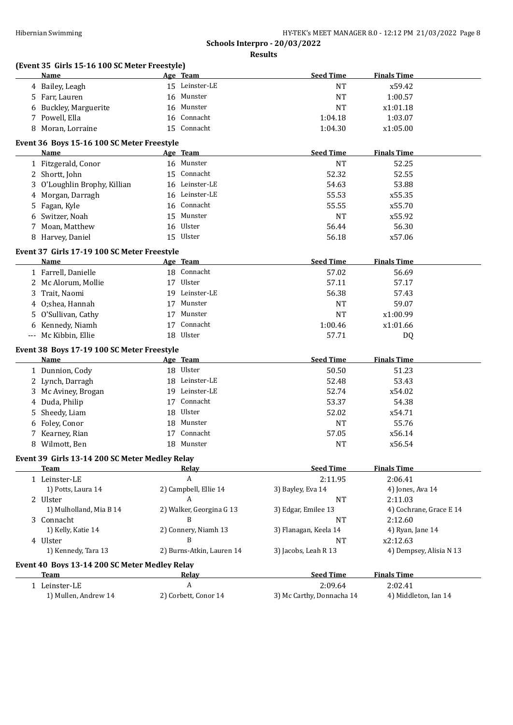|    | (Event 35 Girls 15-16 100 SC Meter Freestyle)  |                            | <b>Seed Time</b>          | <b>Finals Time</b>      |
|----|------------------------------------------------|----------------------------|---------------------------|-------------------------|
|    | Name                                           | Age Team<br>15 Leinster-LE |                           |                         |
|    | 4 Bailey, Leagh                                |                            | <b>NT</b>                 | x59.42                  |
|    | 5 Farr, Lauren                                 | 16 Munster                 | <b>NT</b>                 | 1:00.57                 |
|    | 6 Buckley, Marguerite                          | 16 Munster                 | <b>NT</b>                 | x1:01.18                |
|    | 7 Powell, Ella                                 | 16 Connacht                | 1:04.18                   | 1:03.07                 |
|    | 8 Moran, Lorraine                              | 15 Connacht                | 1:04.30                   | x1:05.00                |
|    | Event 36 Boys 15-16 100 SC Meter Freestyle     |                            |                           |                         |
|    | Name                                           | Age Team                   | <b>Seed Time</b>          | <b>Finals Time</b>      |
|    | 1 Fitzgerald, Conor                            | 16 Munster<br>15 Connacht  | <b>NT</b>                 | 52.25                   |
|    | 2 Shortt, John                                 |                            | 52.32                     | 52.55                   |
|    | 3 O'Loughlin Brophy, Killian                   | 16 Leinster-LE             | 54.63                     | 53.88                   |
| 4  | Morgan, Darragh                                | 16 Leinster-LE             | 55.53                     | x55.35                  |
|    | 5 Fagan, Kyle                                  | 16 Connacht                | 55.55                     | x55.70                  |
| 6  | Switzer, Noah                                  | 15 Munster                 | <b>NT</b>                 | x55.92                  |
|    | 7 Moan, Matthew                                | 16 Ulster                  | 56.44                     | 56.30                   |
|    | 8 Harvey, Daniel                               | 15 Ulster                  | 56.18                     | x57.06                  |
|    | Event 37 Girls 17-19 100 SC Meter Freestyle    |                            |                           |                         |
|    | Name                                           | Age Team                   | <b>Seed Time</b>          | <b>Finals Time</b>      |
|    | 1 Farrell, Danielle                            | 18 Connacht                | 57.02                     | 56.69                   |
|    | 2 Mc Alorum, Mollie                            | 17 Ulster                  | 57.11                     | 57.17                   |
|    | 3 Trait, Naomi                                 | 19 Leinster-LE             | 56.38                     | 57.43                   |
|    | 4 O;shea, Hannah                               | 17 Munster                 | <b>NT</b>                 | 59.07                   |
|    | 5 O'Sullivan, Cathy                            | 17 Munster                 | <b>NT</b>                 | x1:00.99                |
|    | 6 Kennedy, Niamh                               | 17 Connacht                | 1:00.46                   | x1:01.66                |
|    | --- Mc Kibbin, Ellie                           | 18 Ulster                  | 57.71                     | DQ                      |
|    | Event 38 Boys 17-19 100 SC Meter Freestyle     |                            |                           |                         |
|    | Name                                           | Age Team                   | <b>Seed Time</b>          | <b>Finals Time</b>      |
|    | 1 Dunnion, Cody                                | 18 Ulster                  | 50.50                     | 51.23                   |
|    | 2 Lynch, Darragh                               | 18 Leinster-LE             | 52.48                     | 53.43                   |
|    | 3 Mc Aviney, Brogan                            | 19 Leinster-LE             | 52.74                     | x54.02                  |
| 4  | Duda, Philip                                   | 17 Connacht                | 53.37                     | 54.38                   |
| 5. | Sheedy, Liam                                   | 18 Ulster                  | 52.02                     | x54.71                  |
|    | 6 Foley, Conor                                 | 18 Munster                 | <b>NT</b>                 | 55.76                   |
|    | 7 Kearney, Rian                                | 17 Connacht                | 57.05                     | x56.14                  |
|    | 8 Wilmott, Ben                                 | 18 Munster                 | <b>NT</b>                 | x56.54                  |
|    | Event 39 Girls 13-14 200 SC Meter Medley Relay |                            |                           |                         |
|    | Team                                           | Relav                      | <b>Seed Time</b>          | <b>Finals Time</b>      |
|    | 1 Leinster-LE                                  | $\boldsymbol{A}$           | 2:11.95                   | 2:06.41                 |
|    | 1) Potts, Laura 14                             | 2) Campbell, Ellie 14      | 3) Bayley, Eva 14         | 4) Jones, Ava 14        |
|    | 2 Ulster                                       | A                          | <b>NT</b>                 | 2:11.03                 |
|    | 1) Mulholland, Mia B 14                        | 2) Walker, Georgina G 13   | 3) Edgar, Emilee 13       | 4) Cochrane, Grace E 14 |
|    | 3 Connacht                                     | B                          | NT                        | 2:12.60                 |
|    | 1) Kelly, Katie 14                             | 2) Connery, Niamh 13       | 3) Flanagan, Keela 14     | 4) Ryan, Jane 14        |
|    | 4 Ulster                                       | B                          | NT                        | x2:12.63                |
|    | 1) Kennedy, Tara 13                            | 2) Burns-Atkin, Lauren 14  | 3) Jacobs, Leah R 13      | 4) Dempsey, Alisia N 13 |
|    | Event 40 Boys 13-14 200 SC Meter Medley Relay  |                            |                           |                         |
|    | Team                                           | <u>Relav</u>               | <b>Seed Time</b>          | <b>Finals Time</b>      |
|    | 1 Leinster-LE                                  | A                          | 2:09.64                   | 2:02.41                 |
|    | 1) Mullen, Andrew 14                           | 2) Corbett, Conor 14       | 3) Mc Carthy, Donnacha 14 | 4) Middleton, Ian 14    |